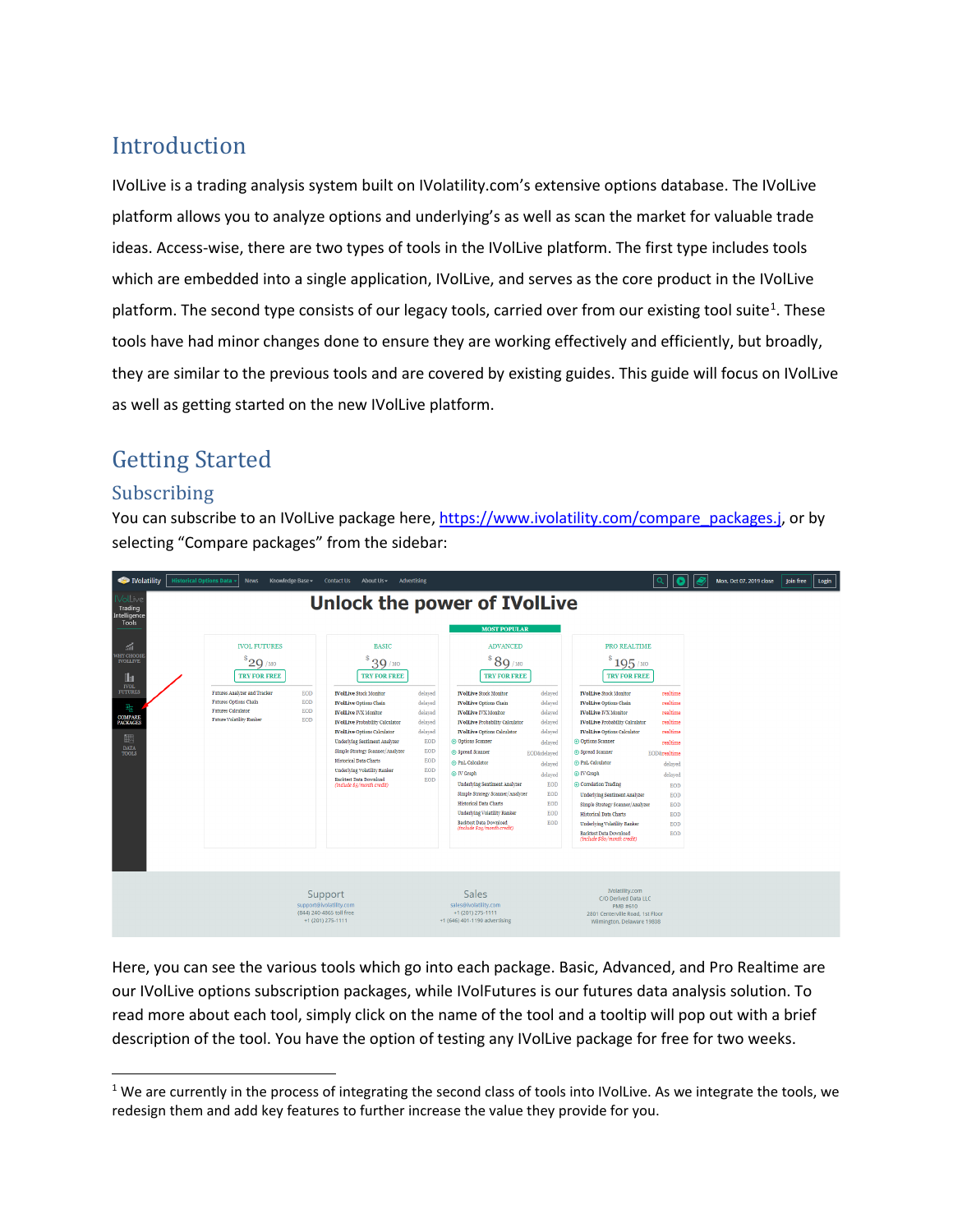# Introduction

IVolLive is a trading analysis system built on IVolatility.com's extensive options database. The IVolLive platform allows you to analyze options and underlying's as well as scan the market for valuable trade ideas. Access-wise, there are two types of tools in the IVolLive platform. The first type includes tools which are embedded into a single application, IVolLive, and serves as the core product in the IVolLive platform. The second type consists of our legacy tools, carried over from our existing tool suite<sup>[1](#page-0-0)</sup>. These tools have had minor changes done to ensure they are working effectively and efficiently, but broadly, they are similar to the previous tools and are covered by existing guides. This guide will focus on IVolLive as well as getting started on the new IVolLive platform.

# Getting Started

## Subscribing

You can subscribe to an IVolLive package here, [https://www.ivolatility.com/compare\\_packages.j,](https://www.ivolatility.com/compare_packages.j) or by selecting "Compare packages" from the sidebar:



Here, you can see the various tools which go into each package. Basic, Advanced, and Pro Realtime are our IVolLive options subscription packages, while IVolFutures is our futures data analysis solution. To read more about each tool, simply click on the name of the tool and a tooltip will pop out with a brief description of the tool. You have the option of testing any IVolLive package for free for two weeks.

<span id="page-0-0"></span> $1$  We are currently in the process of integrating the second class of tools into IVolLive. As we integrate the tools, we redesign them and add key features to further increase the value they provide for you.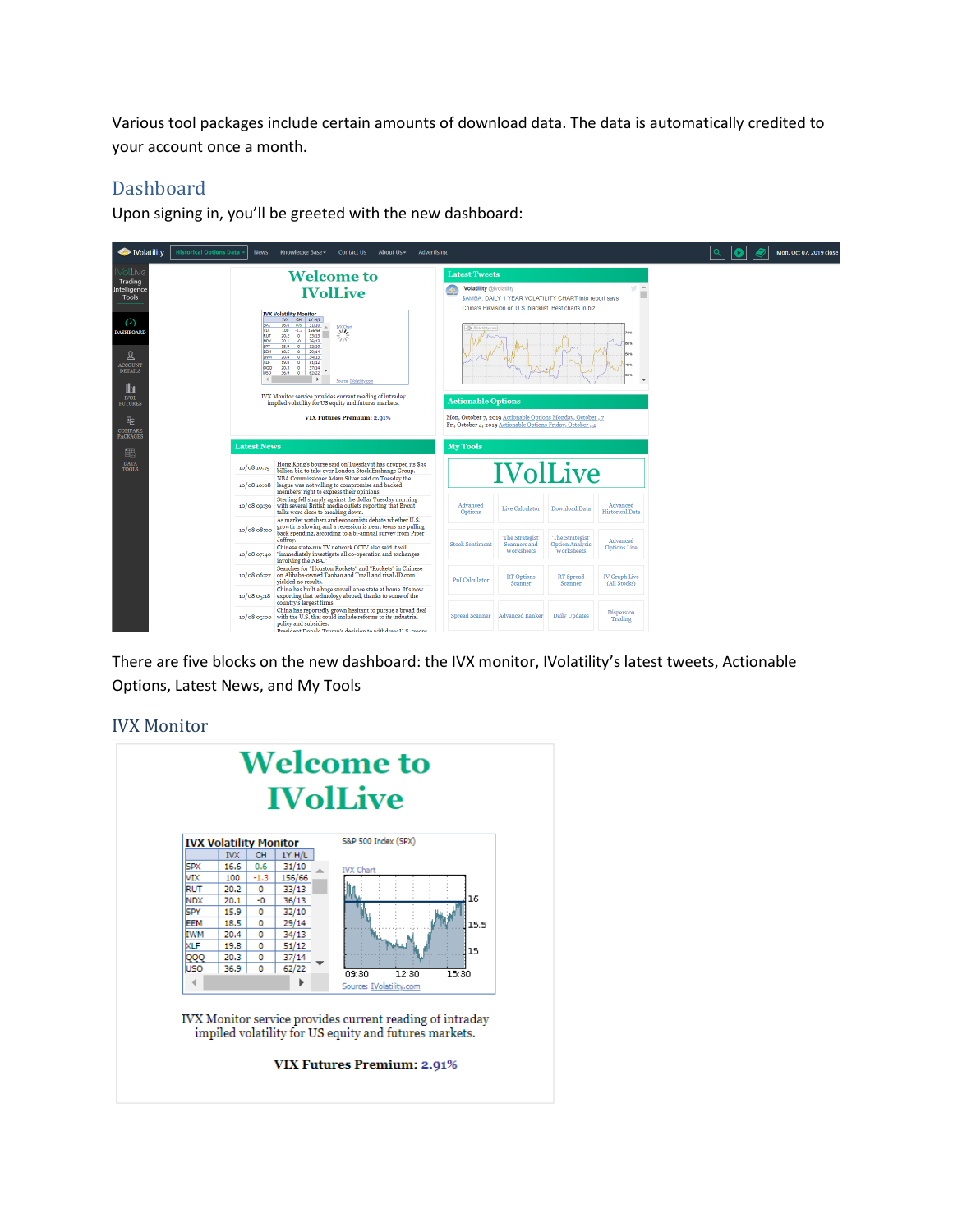Various tool packages include certain amounts of download data. The data is automatically credited to your account once a month.

## Dashboard

Upon signing in, you'll be greeted with the new dashboard:



There are five blocks on the new dashboard: the IVX monitor, IVolatility's latest tweets, Actionable Options, Latest News, and My Tools

#### IVX Monitor

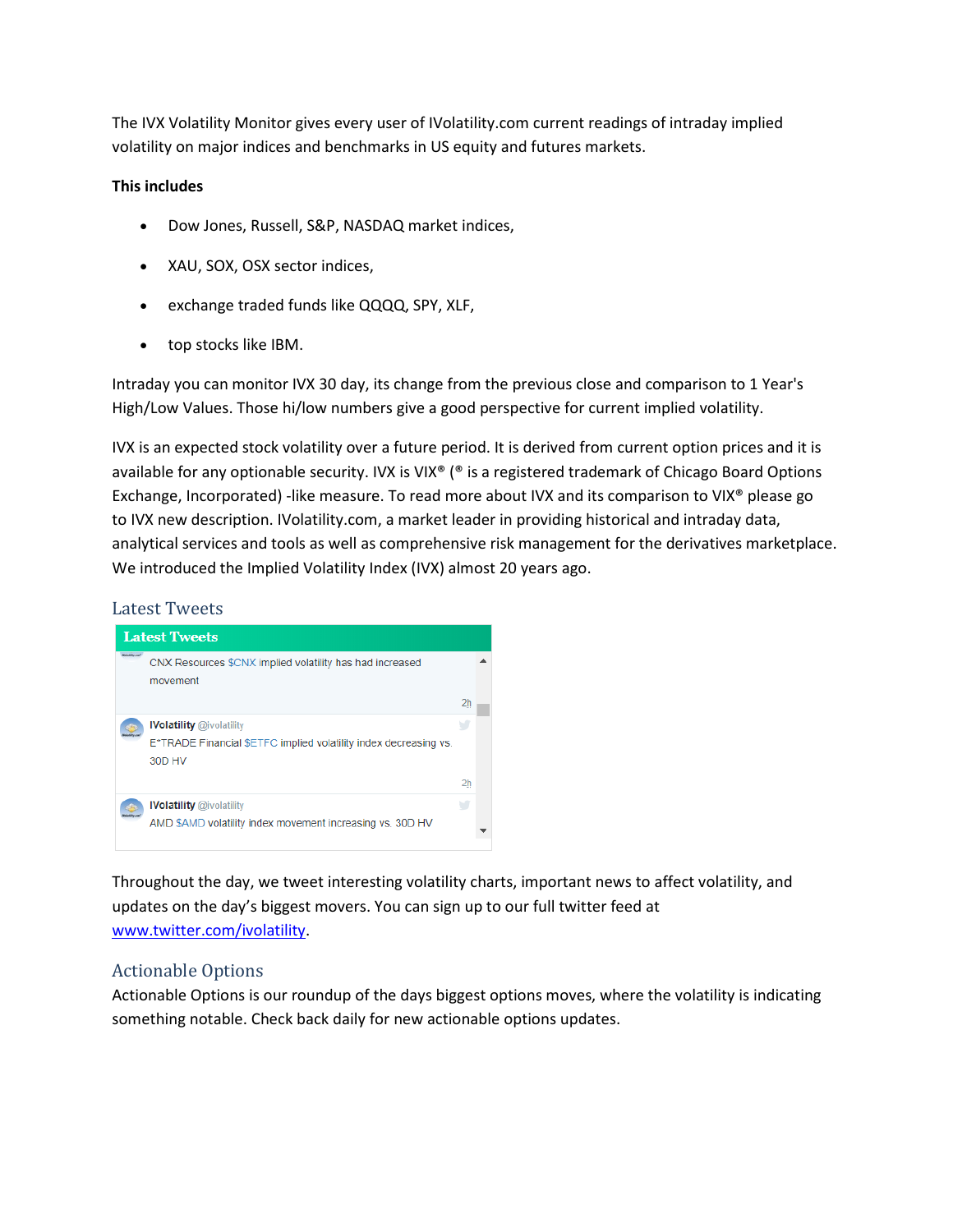The IVX Volatility Monitor gives every user of IVolatility.com current readings of intraday implied volatility on major indices and benchmarks in US equity and futures markets.

#### **This includes**

- Dow Jones, Russell, S&P, NASDAQ market indices,
- XAU, SOX, OSX sector indices,
- exchange traded funds like QQQQ, SPY, XLF,
- top stocks like IBM.

Intraday you can monitor IVX 30 day, its change from the previous close and comparison to 1 Year's High/Low Values. Those hi/low numbers give a good perspective for current implied volatility.

IVX is an expected stock volatility over a future period. It is derived from current option prices and it is available for any optionable security. IVX is VIX<sup>®</sup> (<sup>®</sup> is a registered trademark of Chicago Board Options Exchange, Incorporated) -like measure. To read more about IVX and its comparison to VIX® please go to IVX new description. IVolatility.com, a market leader in providing historical and intraday data, analytical services and tools as well as comprehensive risk management for the derivatives marketplace. We introduced the Implied Volatility Index (IVX) almost 20 years ago.

### Latest Tweets



Throughout the day, we tweet interesting volatility charts, important news to affect volatility, and updates on the day's biggest movers. You can sign up to our full twitter feed at [www.twitter.com/ivolatility.](http://www.twitter.com/ivolatility)

### Actionable Options

Actionable Options is our roundup of the days biggest options moves, where the volatility is indicating something notable. Check back daily for new actionable options updates.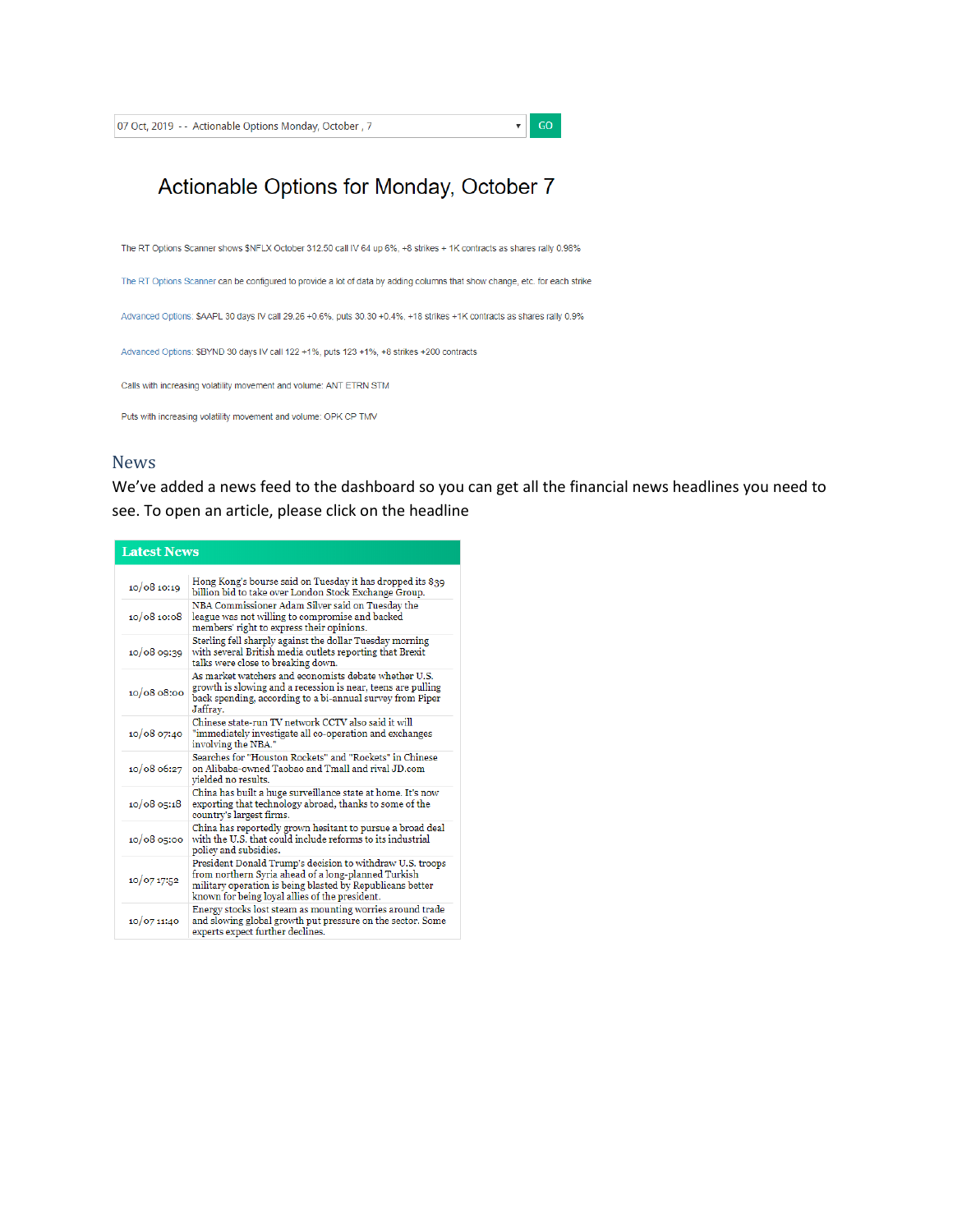$\mathbf{v}$  GO

# Actionable Options for Monday, October 7

The RT Options Scanner shows \$NFLX October 312.50 call IV 64 up 6%, +8 strikes + 1K contracts as shares rally 0.98%

The RT Options Scanner can be configured to provide a lot of data by adding columns that show change, etc. for each strike

Advanced Options: \$AAPL 30 days IV call 29.26 +0.6%, puts 30.30 +0.4%, +18 strikes +1K contracts as shares rally 0.9%

Advanced Options: \$BYND 30 days IV call 122 +1%, puts 123 +1%, +8 strikes +200 contracts

Calls with increasing volatility movement and volume: ANT ETRN STM

Puts with increasing volatility movement and volume: OPK CP TMV

#### **News**

We've added a news feed to the dashboard so you can get all the financial news headlines you need to see. To open an article, please click on the headline

#### **Latest News**

| 10/08 10:19   | Hong Kong's bourse said on Tuesday it has dropped its \$39<br>billion bid to take over London Stock Exchange Group.                                                                                                             |
|---------------|---------------------------------------------------------------------------------------------------------------------------------------------------------------------------------------------------------------------------------|
| 10/0810:08    | NBA Commissioner Adam Silver said on Tuesday the<br>league was not willing to compromise and backed<br>members' right to express their opinions.                                                                                |
| 10/08 09:39   | Sterling fell sharply against the dollar Tuesday morning<br>with several British media outlets reporting that Brexit<br>talks were close to breaking down.                                                                      |
| 10/0808:00    | As market watchers and economists debate whether U.S.<br>growth is slowing and a recession is near, teens are pulling<br>back spending, according to a bi-annual survey from Piper<br>Jaffrav.                                  |
| 10/08 07:40   | Chinese state-run TV network CCTV also said it will<br>"immediately investigate all co-operation and exchanges<br>involving the NBA."                                                                                           |
| 10/08 06:27   | Searches for "Houston Rockets" and "Rockets" in Chinese<br>on Alibaba-owned Taobao and Tmall and rival JD.com<br>vielded no results.                                                                                            |
| 10/08 05:18   | China has built a huge surveillance state at home. It's now<br>exporting that technology abroad, thanks to some of the<br>country's largest firms.                                                                              |
| $10/08$ 05:00 | China has reportedly grown hesitant to pursue a broad deal<br>with the U.S. that could include reforms to its industrial<br>policy and subsidies.                                                                               |
| 10/07 17:52   | President Donald Trump's decision to withdraw U.S. troops<br>from northern Syria ahead of a long-planned Turkish<br>military operation is being blasted by Republicans better<br>known for being loyal allies of the president. |
| 10/07 11:40   | Energy stocks lost steam as mounting worries around trade<br>and slowing global growth put pressure on the sector. Some<br>experts expect further declines.                                                                     |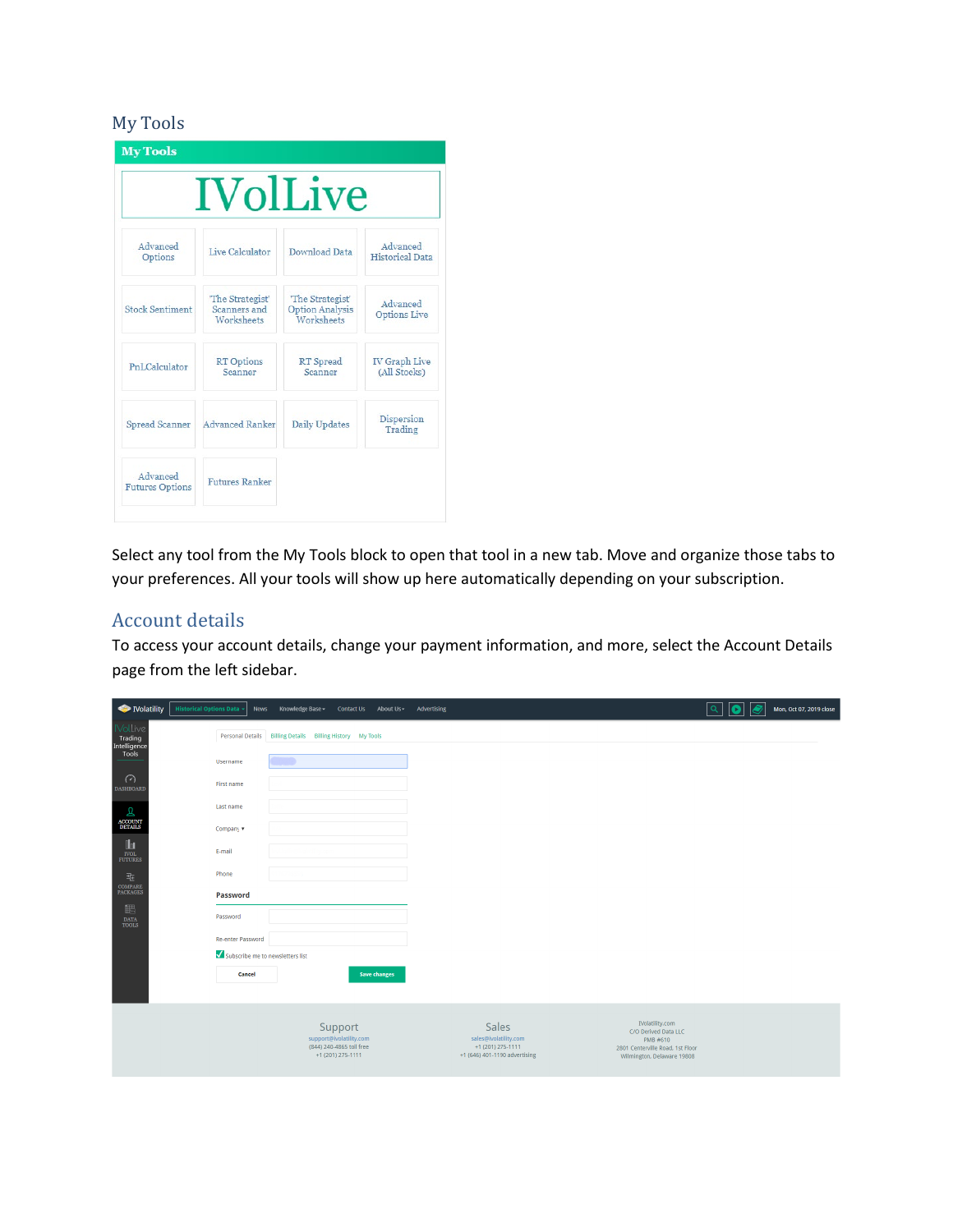# My Tools

|                                    | <b>IVolLive</b>                                       |                                                          |                                      |  |
|------------------------------------|-------------------------------------------------------|----------------------------------------------------------|--------------------------------------|--|
| Advanced<br>Options                | Live Calculator                                       | <b>Download Data</b>                                     | Advanced<br><b>Historical Data</b>   |  |
| <b>Stock Sentiment</b>             | "The Strategist"<br>Scanners and<br><b>Worksheets</b> | 'The Strategist'<br><b>Option Analysis</b><br>Worksheets | Advanced<br><b>Options Live</b>      |  |
| PnLCalculator                      | <b>RT</b> Options<br>Scanner                          | RT Spread<br>Scanner                                     | <b>IV</b> Graph Live<br>(All Stocks) |  |
| Spread Scanner                     | <b>Advanced Ranker</b>                                | Daily Updates                                            | Dispersion<br>Trading                |  |
| Advanced<br><b>Futures Options</b> | <b>Futures Ranker</b>                                 |                                                          |                                      |  |

Select any tool from the My Tools block to open that tool in a new tab. Move and organize those tabs to your preferences. All your tools will show up here automatically depending on your subscription.

## Account details

To access your account details, change your payment information, and more, select the Account Details page from the left sidebar.

| Nolatility                                                            | <b>Historical Options Data</b>   | Knowledge Base -<br>News                                  | <b>Contact Us</b><br>About Us -                                                     | Advertising                                                                                 |                                                                                                                       | Q<br>ß | Mon, Oct 07, 2019 close |  |
|-----------------------------------------------------------------------|----------------------------------|-----------------------------------------------------------|-------------------------------------------------------------------------------------|---------------------------------------------------------------------------------------------|-----------------------------------------------------------------------------------------------------------------------|--------|-------------------------|--|
| <b>Noll</b> ve<br>Trading<br>Intelligence<br>Tools                    |                                  | Personal Details Billing Details Billing History My Tools |                                                                                     |                                                                                             |                                                                                                                       |        |                         |  |
|                                                                       | <b>Username</b>                  |                                                           |                                                                                     |                                                                                             |                                                                                                                       |        |                         |  |
| $\odot$<br><b>DASHBOARD</b>                                           | First name                       |                                                           |                                                                                     |                                                                                             |                                                                                                                       |        |                         |  |
| م                                                                     | Last name                        |                                                           |                                                                                     |                                                                                             |                                                                                                                       |        |                         |  |
| <b>ACCOUNT</b><br>DETAILS                                             | Company v                        |                                                           |                                                                                     |                                                                                             |                                                                                                                       |        |                         |  |
| $\mathbf{u}$<br>$\overline{\text{FUL}}$ FUTURES                       | E-mail                           |                                                           |                                                                                     |                                                                                             |                                                                                                                       |        |                         |  |
| 埀                                                                     | Phone                            |                                                           |                                                                                     |                                                                                             |                                                                                                                       |        |                         |  |
| $\begin{array}{ll} \textbf{COMPARE} \\ \textbf{PACKAGES} \end{array}$ | Password                         |                                                           |                                                                                     |                                                                                             |                                                                                                                       |        |                         |  |
| 眼<br>$_{\rm TOOLS}^{\rm DATA}$                                        | Password                         |                                                           |                                                                                     |                                                                                             |                                                                                                                       |        |                         |  |
|                                                                       | Re-enter Password                |                                                           |                                                                                     |                                                                                             |                                                                                                                       |        |                         |  |
|                                                                       | Subscribe me to newsletters list |                                                           |                                                                                     |                                                                                             |                                                                                                                       |        |                         |  |
|                                                                       | Cancel                           |                                                           | <b>Save changes</b>                                                                 |                                                                                             |                                                                                                                       |        |                         |  |
|                                                                       |                                  |                                                           | Support<br>support@ivolatility.com<br>(844) 240-4865 toll free<br>+1 (201) 275-1111 | <b>Sales</b><br>sales@ivolatility.com<br>+1 (201) 275-1111<br>+1 (646) 401-1190 advertising | IVolatility.com<br>C/O Derived Data LLC<br>PMB #610<br>2801 Centerville Road, 1st Floor<br>Wilmington, Delaware 19808 |        |                         |  |